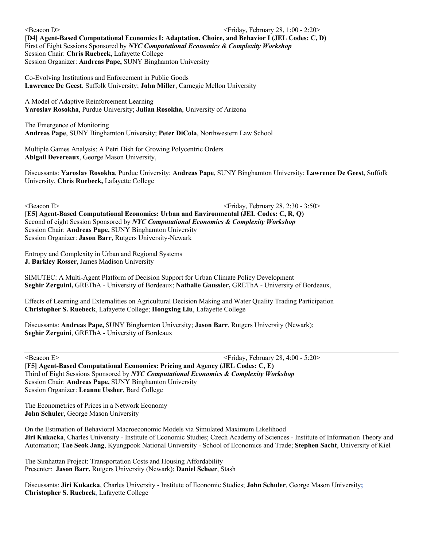Seacon D>  $\leq$  Friday, February 28, 1:00 - 2:20  $\leq$ **[D4] Agent-Based Computational Economics I: Adaptation, Choice, and Behavior I (JEL Codes: C, D)** First of Eight Sessions Sponsored by *NYC Computational Economics & Complexity Workshop*  Session Chair: **Chris Ruebeck,** Lafayette College Session Organizer: **Andreas Pape,** SUNY Binghamton University

Co-Evolving Institutions and Enforcement in Public Goods **Lawrence De Geest**, Suffolk University; **John Miller**, Carnegie Mellon University

A Model of Adaptive Reinforcement Learning **Yaroslav Rosokha**, Purdue University; **Julian Rosokha**, University of Arizona

The Emergence of Monitoring **Andreas Pape**, SUNY Binghamton University; **Peter DiCola**, Northwestern Law School

Multiple Games Analysis: A Petri Dish for Growing Polycentric Orders **Abigail Devereaux**, George Mason University,

Discussants: **Yaroslav Rosokha**, Purdue University; **Andreas Pape**, SUNY Binghamton University; **Lawrence De Geest**, Suffolk University, **Chris Ruebeck,** Lafayette College

Seacon E>  $\leq$  Friday, February 28, 2:30 - 3:50  $\leq$  Friday, February 28, 2:30 - 3:50  $\leq$ **[E5] Agent-Based Computational Economics: Urban and Environmental (JEL Codes: C, R, Q)** Second of eight Session Sponsored by *NYC Computational Economics & Complexity Workshop* Session Chair: **Andreas Pape,** SUNY Binghamton University Session Organizer: **Jason Barr,** Rutgers University-Newark

Entropy and Complexity in Urban and Regional Systems **J. Barkley Rosser**, James Madison University

SIMUTEC: A Multi-Agent Platform of Decision Support for Urban Climate Policy Development **Seghir Zerguini,** GREThA - University of Bordeaux; **Nathalie Gaussier,** GREThA - University of Bordeaux,

Effects of Learning and Externalities on Agricultural Decision Making and Water Quality Trading Participation **Christopher S. Ruebeck**, Lafayette College; **Hongxing Liu**, Lafayette College

Discussants: **Andreas Pape,** SUNY Binghamton University; **Jason Barr**, Rutgers University (Newark); **Seghir Zerguini**, GREThA - University of Bordeaux

Seacon E>  $\leq$  Friday, February 28, 4:00 - 5:20  $\leq$  Friday, February 28, 4:00 - 5:20  $\leq$ 

**[F5] Agent-Based Computational Economics: Pricing and Agency (JEL Codes: C, E)** Third of Eight Sessions Sponsored by *NYC Computational Economics & Complexity Workshop* Session Chair: **Andreas Pape,** SUNY Binghamton University Session Organizer: **Leanne Ussher**, Bard College

The Econometrics of Prices in a Network Economy **John Schuler**, George Mason University

On the Estimation of Behavioral Macroeconomic Models via Simulated Maximum Likelihood **Jiri Kukacka**, Charles University - Institute of Economic Studies; Czech Academy of Sciences - Institute of Information Theory and Automation; **Tae Seok Jang**, Kyungpook National University - School of Economics and Trade; **Stephen Sacht**, University of Kiel

The Simhattan Project: Transportation Costs and Housing Affordability Presenter: **Jason Barr,** Rutgers University (Newark); **Daniel Scheer**, Stash

Discussants: **Jiri Kukacka**, Charles University - Institute of Economic Studies; **John Schuler**, George Mason University**; Christopher S. Ruebeck**, Lafayette College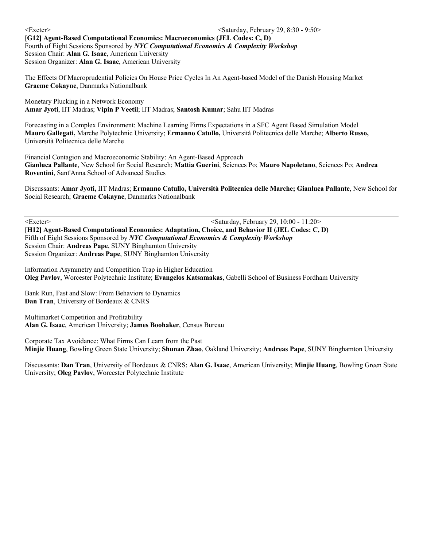<Exeter> <Saturday, February 29, 8:30 - 9:50> **[G12] Agent-Based Computational Economics: Macroeconomics (JEL Codes: C, D)** Fourth of Eight Sessions Sponsored by *NYC Computational Economics & Complexity Workshop* Session Chair: **Alan G. Isaac**, American University Session Organizer: **Alan G. Isaac**, American University

The Effects Of Macroprudential Policies On House Price Cycles In An Agent-based Model of the Danish Housing Market **Graeme Cokayne**, Danmarks Nationalbank

Monetary Plucking in a Network Economy **Amar Jyoti**, IIT Madras; **Vipin P Veetil**; IIT Madras; **Santosh Kumar**; Sahu IIT Madras

Forecasting in a Complex Environment: Machine Learning Firms Expectations in a SFC Agent Based Simulation Model **Mauro Gallegati,** Marche Polytechnic University; **Ermanno Catullo,** Università Politecnica delle Marche; **Alberto Russo,** Università Politecnica delle Marche

Financial Contagion and Macroeconomic Stability: An Agent-Based Approach **Gianluca Pallante**, New School for Social Research; **Mattia Guerini**, Sciences Po; **Mauro Napoletano**, Sciences Po; **Andrea Roventini**, Sant'Anna School of Advanced Studies

Discussants: **Amar Jyoti,** IIT Madras; **Ermanno Catullo, Università Politecnica delle Marche; Gianluca Pallante**, New School for Social Research; **Graeme Cokayne**, Danmarks Nationalbank

<Exeter> <Saturday, February 29, 10:00 - 11:20> **[H12] Agent-Based Computational Economics: Adaptation, Choice, and Behavior II (JEL Codes: C, D)** Fifth of Eight Sessions Sponsored by *NYC Computational Economics & Complexity Workshop* Session Chair: **Andreas Pape**, SUNY Binghamton University Session Organizer: **Andreas Pape**, SUNY Binghamton University

Information Asymmetry and Competition Trap in Higher Education **Oleg Pavlov**, Worcester Polytechnic Institute; **Evangelos Katsamakas**, Gabelli School of Business Fordham University

Bank Run, Fast and Slow: From Behaviors to Dynamics **Dan Tran**, University of Bordeaux & CNRS

Multimarket Competition and Profitability **Alan G. Isaac**, American University; **James Boohaker**, Census Bureau

Corporate Tax Avoidance: What Firms Can Learn from the Past **Minjie Huang**, Bowling Green State University; **Shunan Zhao**, Oakland University; **Andreas Pape**, SUNY Binghamton University

Discussants: **Dan Tran**, University of Bordeaux & CNRS; **Alan G. Isaac**, American University; **Minjie Huang**, Bowling Green State University; **Oleg Pavlov**, Worcester Polytechnic Institute